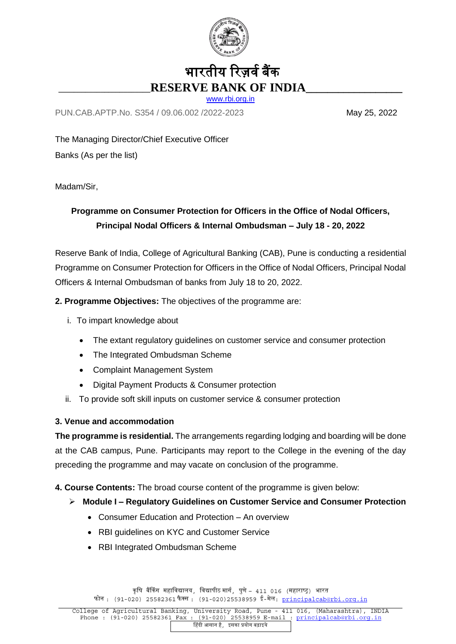

# भारतीय रिज़र्व बैंक **\_\_\_\_\_\_\_\_\_\_\_\_\_\_\_\_\_\_\_\_\_\_\_\_RESERVE BANK OF INDIA\_\_\_\_\_\_\_\_\_\_\_\_\_\_\_\_\_\_**

[www.rbi.org.in](http://www.rbi.org.in/)

PUN.CAB.APTP.No. S354 / 09.06.002 /2022-2023 May 25, 2022

The Managing Director/Chief Executive Officer Banks (As per the list)

Madam/Sir,

## **Programme on Consumer Protection for Officers in the Office of Nodal Officers, Principal Nodal Officers & Internal Ombudsman – July 18 - 20, 2022**

Reserve Bank of India, College of Agricultural Banking (CAB), Pune is conducting a residential Programme on Consumer Protection for Officers in the Office of Nodal Officers, Principal Nodal Officers & Internal Ombudsman of banks from July 18 to 20, 2022.

### **2. Programme Objectives:** The objectives of the programme are:

- i. To impart knowledge about
	- The extant regulatory guidelines on customer service and consumer protection
	- The Integrated Ombudsman Scheme
	- Complaint Management System
	- Digital Payment Products & Consumer protection
- ii. To provide soft skill inputs on customer service & consumer protection

#### **3. Venue and accommodation**

**The programme is residential.** The arrangements regarding lodging and boarding will be done at the CAB campus, Pune. Participants may report to the College in the evening of the day preceding the programme and may vacate on conclusion of the programme.

**4. Course Contents:** The broad course content of the programme is given below:

- **Module I – Regulatory Guidelines on Customer Service and Consumer Protection**
	- Consumer Education and Protection An overview
	- RBI guidelines on KYC and Customer Service
	- RBI Integrated Ombudsman Scheme

कृषि बैंकिंग महाविद्यालय, विद्यापीठ मार्ग, पुणे – 411 016 (महाराष्ट्र) भारत फोन : (91-020) 25582361 फैक्स : (91-020) 25538959 ई-मेल: principalcab@rbi.org.in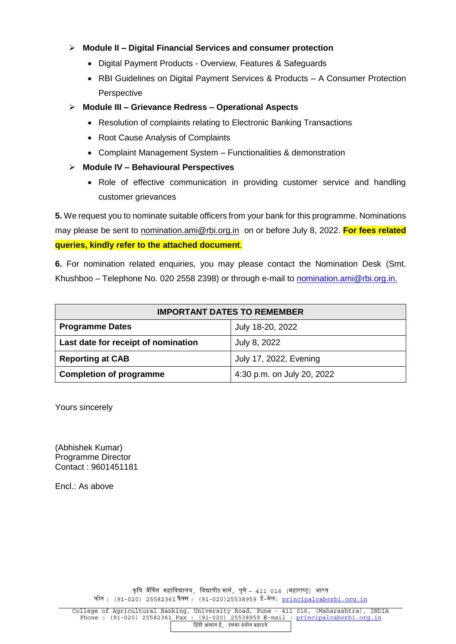#### **Module II – Digital Financial Services and consumer protection**

- Digital Payment Products Overview, Features & Safeguards
- RBI Guidelines on Digital Payment Services & Products A Consumer Protection **Perspective**
- **Module III – Grievance Redress – Operational Aspects**
	- Resolution of complaints relating to Electronic Banking Transactions
	- Root Cause Analysis of Complaints
	- Complaint Management System Functionalities & demonstration
- **Module IV – Behavioural Perspectives**
	- Role of effective communication in providing customer service and handling customer grievances

**5.** We request you to nominate suitable officers from your bank for this programme. Nominations may please be sent to [nomination.ami@rbi.org.in](mailto:nomination.ami@rbi.org.in) on or before July 8, 2022. **For fees related queries, kindly refer to the attached document**.

**6.** For nomination related enquiries, you may please contact the Nomination Desk (Smt. Khushboo – Telephone No. 020 2558 2398) or through e-mail to [nomination.ami@rbi.org.in.](mailto:cabacademic@rbi.org.in)

| <b>IMPORTANT DATES TO REMEMBER</b>  |                               |
|-------------------------------------|-------------------------------|
| <b>Programme Dates</b>              | July 18-20, 2022              |
| Last date for receipt of nomination | July 8, 2022                  |
| <b>Reporting at CAB</b>             | <b>July 17, 2022, Evening</b> |
| <b>Completion of programme</b>      | 4:30 p.m. on July 20, 2022    |

Yours sincerely

(Abhishek Kumar) Programme Director Contact : 9601451181

Encl.: As above

कृषि बैंकिंग महाविद्यालय, विद्यापीठ मार्ग, पुणे – 411 016 (महाराष्ट्र) भारत फोन:  $(91-020)$  25582361 फैक्स:  $(91-020)$ 25538959 ई-मेल: principalcab@rbi.org.in